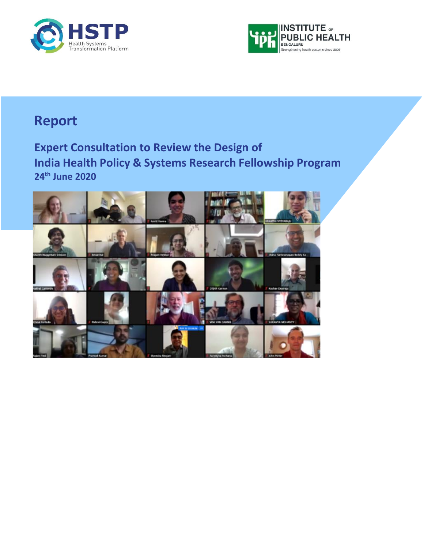



## **Report**

**Expert Consultation to Review the Design of India Health Policy & Systems Research Fellowship Program 24th June 2020**

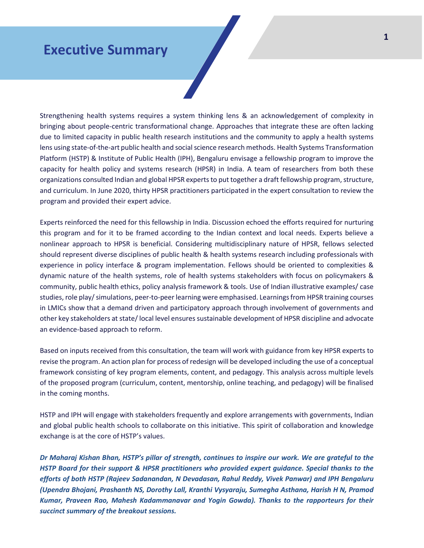## **Executive Summary**

Strengthening health systems requires a system thinking lens & an acknowledgement of complexity in bringing about people-centric transformational change. Approaches that integrate these are often lacking due to limited capacity in public health research institutions and the community to apply a health systems lens using state-of-the-art public health and social science research methods. Health Systems Transformation Platform (HSTP) & Institute of Public Health (IPH), Bengaluru envisage a fellowship program to improve the capacity for health policy and systems research (HPSR) in India. A team of researchers from both these organizations consulted Indian and global HPSR experts to put together a draft fellowship program, structure, and curriculum. In June 2020, thirty HPSR practitioners participated in the expert consultation to review the program and provided their expert advice.

Experts reinforced the need for this fellowship in India. Discussion echoed the efforts required for nurturing this program and for it to be framed according to the Indian context and local needs. Experts believe a nonlinear approach to HPSR is beneficial. Considering multidisciplinary nature of HPSR, fellows selected should represent diverse disciplines of public health & health systems research including professionals with experience in policy interface & program implementation. Fellows should be oriented to complexities & dynamic nature of the health systems, role of health systems stakeholders with focus on policymakers & community, public health ethics, policy analysis framework & tools. Use of Indian illustrative examples/ case studies, role play/simulations, peer-to-peer learning were emphasised. Learnings from HPSR training courses in LMICs show that a demand driven and participatory approach through involvement of governments and other key stakeholders at state/ local level ensures sustainable development of HPSR discipline and advocate an evidence-based approach to reform.

Based on inputs received from this consultation, the team will work with guidance from key HPSR experts to revise the program. An action plan for process of redesign will be developed including the use of a conceptual framework consisting of key program elements, content, and pedagogy. This analysis across multiple levels of the proposed program (curriculum, content, mentorship, online teaching, and pedagogy) will be finalised in the coming months.

HSTP and IPH will engage with stakeholders frequently and explore arrangements with governments, Indian and global public health schools to collaborate on this initiative. This spirit of collaboration and knowledge exchange is at the core of HSTP's values.

*Dr Maharaj Kishan Bhan, HSTP's pillar of strength, continues to inspire our work. We are grateful to the HSTP Board for their support & HPSR practitioners who provided expert guidance. Special thanks to the efforts of both HSTP (Rajeev Sadanandan, N Devadasan, Rahul Reddy, Vivek Panwar) and IPH Bengaluru (Upendra Bhojani, Prashanth NS, Dorothy Lall, Kranthi Vysyaraju, Sumegha Asthana, Harish H N, Pramod Kumar, Praveen Rao, Mahesh Kadammanavar and Yogin Gowda). Thanks to the rapporteurs for their succinct summary of the breakout sessions.*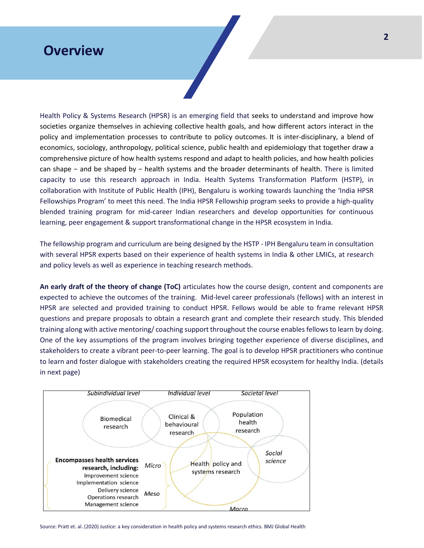### **Overview**

Health Policy & Systems Research (HPSR) is an emerging field that seeks to understand and improve how societies organize themselves in achieving collective health goals, and how different actors interact in the policy and implementation processes to contribute to policy outcomes. It is inter-disciplinary, a blend of economics, sociology, anthropology, political science, public health and epidemiology that together draw a comprehensive picture of how health systems respond and adapt to health policies, and how health policies can shape − and be shaped by − health systems and the broader determinants of health. There is limited capacity to use this research approach in India. Health Systems Transformation Platform (HSTP), in collaboration with Institute of Public Health (IPH), Bengaluru is working towards launching the 'India HPSR Fellowships Program' to meet this need. The India HPSR Fellowship program seeks to provide a high-quality blended training program for mid-career Indian researchers and develop opportunities for continuous learning, peer engagement & support transformational change in the HPSR ecosystem in India.

The fellowship program and curriculum are being designed by the HSTP - IPH Bengaluru team in consultation with several HPSR experts based on their experience of health systems in India & other LMICs, at research and policy levels as well as experience in teaching research methods.

**An early draft of the theory of change (ToC)** articulates how the course design, content and components are expected to achieve the outcomes of the training. Mid-level career professionals (fellows) with an interest in HPSR are selected and provided training to conduct HPSR. Fellows would be able to frame relevant HPSR questions and prepare proposals to obtain a research grant and complete their research study. This blended training along with active mentoring/ coaching support throughout the course enables fellows to learn by doing. One of the key assumptions of the program involves bringing together experience of diverse disciplines, and stakeholders to create a vibrant peer-to-peer learning. The goal is to develop HPSR practitioners who continue to learn and foster dialogue with stakeholders creating the required HPSR ecosystem for healthy India. (details in next page)



Source: Pratt et. al. (2020) Justice: a key consideration in health policy and systems research ethics. BMJ Global Health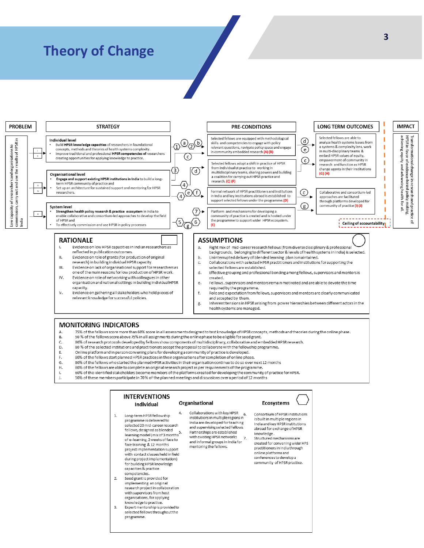## **Theory of Change**



- $\vee$ Evidence on gathering all stakeholders who hold pieces of relevant knowledge for successful policies.
- and accepted by them. g, Inherent tensions in HPSR arising from power hierarchies between different actors in the health systems are managed.

#### **MONITORING INDICATORS**

- 75% of the fellows score more than 60% score in all assessments designed to test knowledge of HPSR concepts, methods and theories during the online phase.
- 50 % of the fellows score above 75% in all assignments during the online phase to be eligible for seed grant. В.
- 80% of research protocols developed by fellows show components of multidisciplinary, collaborative and embedded HPSR research.  $\mathsf{C}$
- D. 80 % of the selected institutions and practitioners accept the proposal to collaborate with the fellowship programme. E.
- Online platform and in person convening plans for developing a community of practice is developed.  $F$ 80% of the fellows start planned HPSR practices in their organisations after completion of online phase.
- 80% of the fellows who started the planned HPSR activities in their organisation continue to do so over next 12 months G.
- Н. 80% of the fellows are able to complete an original research project as per requirements of the programme.
- 60% of the identified stakeholders become members of the platforms created for developing the community of practice for HPSR.  $\mathbf{I}$
- 50% of these members participate in 70 % of the planned meetings and discussions over a period of 12 months

#### **INTERVENTIONS** Organisational Ecosystems Individual Collaborations with key HPSR 6 Consortium of HPSR institutions Long-term HPSR fellowship  $\mathbf{1}$ institutions in multiple regions in is built in multiple regions in programme is delivered to India are developed for teaching India and key HPSR institutions selected 20 mid-career research and supervising selected fellows. abroad for exchange of HPSR fellows, designed as blended reliows, designed as blended<br>learning model (mix of 3 months<br>of a learning 2 weeks of face to Partnerships are established knowledge. with existing HPSR networks Structured mechanisms are of e-learning, 2 weeks of face to<br>face training & 12 months and informal groups in India for created for convening wider HPS<br>practitioners in India through mentoring the fellows. project implementation support .<br>online platforms and with contact classes held in field conferences to develop a during project implementation) community of HPSR practice. for building HPSR knowledge capacities & practice competencies. Seed grant is provided for  $\overline{2}$ implementing an original<br>research project in collaboration with supervisors from host organisations, for applying knowledge to practice.  $3.$ Expert mentorship is provided to selected fellows throughout the programme.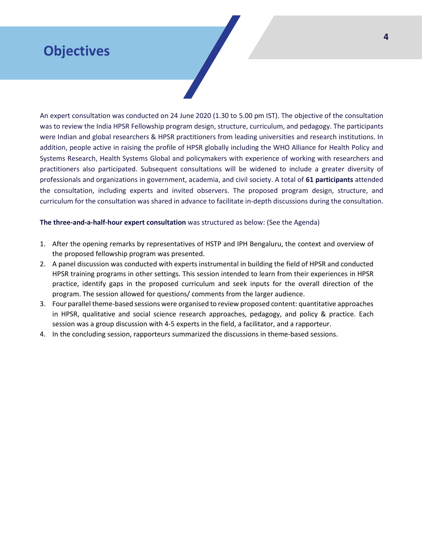## **Objectives**

An expert consultation was conducted on 24 June 2020 (1.30 to 5.00 pm IST). The objective of the consultation was to review the India HPSR Fellowship program design, structure, curriculum, and pedagogy. The participants were Indian and global researchers & HPSR practitioners from leading universities and research institutions. In addition, people active in raising the profile of HPSR globally including the WHO Alliance for Health Policy and Systems Research, Health Systems Global and policymakers with experience of working with researchers and practitioners also participated. Subsequent consultations will be widened to include a greater diversity of professionals and organizations in government, academia, and civil society. A total of **61 participants** attended the consultation, including experts and invited observers. The proposed program design, structure, and curriculum for the consultation was shared in advance to facilitate in-depth discussions during the consultation.

### **The three-and-a-half-hour expert consultation** was structured as below: (See the Agenda)

- 1. After the opening remarks by representatives of HSTP and IPH Bengaluru, the context and overview of the proposed fellowship program was presented.
- 2. A panel discussion was conducted with experts instrumental in building the field of HPSR and conducted HPSR training programs in other settings. This session intended to learn from their experiences in HPSR practice, identify gaps in the proposed curriculum and seek inputs for the overall direction of the program. The session allowed for questions/ comments from the larger audience.
- 3. Four parallel theme-based sessions were organised to review proposed content: quantitative approaches in HPSR, qualitative and social science research approaches, pedagogy, and policy & practice. Each session was a group discussion with 4-5 experts in the field, a facilitator, and a rapporteur.
- 4. In the concluding session, rapporteurs summarized the discussions in theme-based sessions.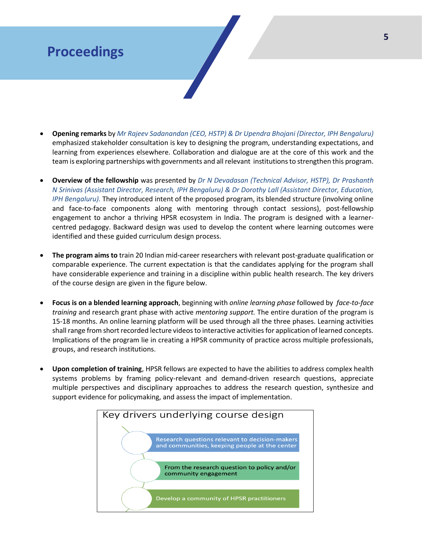## **Proceedings**

- **Opening remarks** by *Mr Rajeev Sadanandan (CEO, HSTP) & Dr Upendra Bhojani (Director, IPH Bengaluru)* emphasized stakeholder consultation is key to designing the program, understanding expectations, and learning from experiences elsewhere. Collaboration and dialogue are at the core of this work and the team is exploring partnerships with governments and all relevant institutions to strengthen this program.
- **Overview of the fellowship** was presented by *Dr N Devadasan (Technical Advisor, HSTP), Dr Prashanth N Srinivas (Assistant Director, Research, IPH Bengaluru) & Dr Dorothy Lall (Assistant Director, Education, IPH Bengaluru).* They introduced intent of the proposed program, its blended structure (involving online and face-to-face components along with mentoring through contact sessions), post-fellowship engagement to anchor a thriving HPSR ecosystem in India. The program is designed with a learnercentred pedagogy. Backward design was used to develop the content where learning outcomes were identified and these guided curriculum design process.
- **The program aims to** train 20 Indian mid-career researchers with relevant post-graduate qualification or comparable experience. The current expectation is that the candidates applying for the program shall have considerable experience and training in a discipline within public health research. The key drivers of the course design are given in the figure below.
- **Focus is on a blended learning approach**, beginning with *online learning phase* followed by *face-to-face training* and research grant phase with active *mentoring support.* The entire duration of the program is 15-18 months. An online learning platform will be used through all the three phases. Learning activities shall range from short recorded lecture videos to interactive activities for application of learned concepts. Implications of the program lie in creating a HPSR community of practice across multiple professionals, groups, and research institutions.
- **Upon completion of training**, HPSR fellows are expected to have the abilities to address complex health systems problems by framing policy-relevant and demand-driven research questions, appreciate multiple perspectives and disciplinary approaches to address the research question, synthesize and support evidence for policymaking, and assess the impact of implementation.

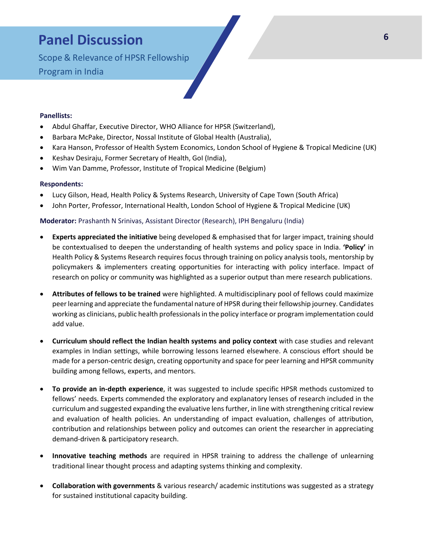## **Panel Discussion**

Scope & Relevance of HPSR Fellowship Program in India

#### **Panellists:**

- Abdul Ghaffar, Executive Director, WHO Alliance for HPSR (Switzerland),
- Barbara McPake, Director, Nossal Institute of Global Health (Australia),
- Kara Hanson, Professor of Health System Economics, London School of Hygiene & Tropical Medicine (UK)
- Keshav Desiraju, Former Secretary of Health, GoI (India),
- Wim Van Damme, Professor, Institute of Tropical Medicine (Belgium)

#### **Respondents:**

- Lucy Gilson, Head, Health Policy & Systems Research, University of Cape Town (South Africa)
- John Porter, Professor, International Health, London School of Hygiene & Tropical Medicine (UK)

#### **Moderator:** Prashanth N Srinivas, Assistant Director (Research), IPH Bengaluru (India)

- **Experts appreciated the initiative** being developed & emphasised that for larger impact, training should be contextualised to deepen the understanding of health systems and policy space in India. **'Policy'** in Health Policy & Systems Research requires focus through training on policy analysis tools, mentorship by policymakers & implementers creating opportunities for interacting with policy interface. Impact of research on policy or community was highlighted as a superior output than mere research publications.
- **Attributes of fellows to be trained** were highlighted. A multidisciplinary pool of fellows could maximize peer learning and appreciate the fundamental nature of HPSR during their fellowship journey. Candidates working as clinicians, public health professionals in the policy interface or program implementation could add value.
- **Curriculum should reflect the Indian health systems and policy context** with case studies and relevant examples in Indian settings, while borrowing lessons learned elsewhere. A conscious effort should be made for a person-centric design, creating opportunity and space for peer learning and HPSR community building among fellows, experts, and mentors.
- **To provide an in-depth experience**, it was suggested to include specific HPSR methods customized to fellows' needs. Experts commended the exploratory and explanatory lenses of research included in the curriculum and suggested expanding the evaluative lens further, in line with strengthening critical review and evaluation of health policies. An understanding of impact evaluation, challenges of attribution, contribution and relationships between policy and outcomes can orient the researcher in appreciating demand-driven & participatory research.
- **Innovative teaching methods** are required in HPSR training to address the challenge of unlearning traditional linear thought process and adapting systems thinking and complexity.
- **Collaboration with governments** & various research/ academic institutions was suggested as a strategy for sustained institutional capacity building.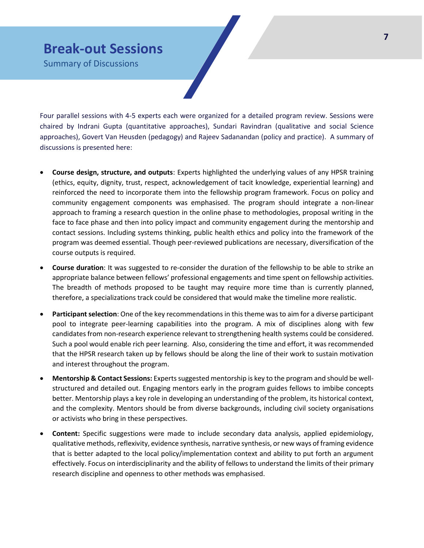### **Break-out Sessions**

Summary of Discussions

Four parallel sessions with 4-5 experts each were organized for a detailed program review. Sessions were chaired by Indrani Gupta (quantitative approaches), Sundari Ravindran (qualitative and social Science approaches), Govert Van Heusden (pedagogy) and Rajeev Sadanandan (policy and practice). A summary of discussions is presented here:

- **Course design, structure, and outputs**: Experts highlighted the underlying values of any HPSR training (ethics, equity, dignity, trust, respect, acknowledgement of tacit knowledge, experiential learning) and reinforced the need to incorporate them into the fellowship program framework. Focus on policy and community engagement components was emphasised. The program should integrate a non-linear approach to framing a research question in the online phase to methodologies, proposal writing in the face to face phase and then into policy impact and community engagement during the mentorship and contact sessions. Including systems thinking, public health ethics and policy into the framework of the program was deemed essential. Though peer-reviewed publications are necessary, diversification of the course outputs is required.
- **Course duration**: It was suggested to re-consider the duration of the fellowship to be able to strike an appropriate balance between fellows' professional engagements and time spent on fellowship activities. The breadth of methods proposed to be taught may require more time than is currently planned, therefore, a specializations track could be considered that would make the timeline more realistic.
- **Participant selection**: One of the key recommendations in this theme was to aim for a diverse participant pool to integrate peer-learning capabilities into the program. A mix of disciplines along with few candidates from non-research experience relevant to strengthening health systems could be considered. Such a pool would enable rich peer learning. Also, considering the time and effort, it was recommended that the HPSR research taken up by fellows should be along the line of their work to sustain motivation and interest throughout the program.
- **Mentorship & Contact Sessions:** Experts suggested mentorship is key to the program and should be wellstructured and detailed out. Engaging mentors early in the program guides fellows to imbibe concepts better. Mentorship plays a key role in developing an understanding of the problem, its historical context, and the complexity. Mentors should be from diverse backgrounds, including civil society organisations or activists who bring in these perspectives.
- **Content:** Specific suggestions were made to include secondary data analysis, applied epidemiology, qualitative methods, reflexivity, evidence synthesis, narrative synthesis, or new ways of framing evidence that is better adapted to the local policy/implementation context and ability to put forth an argument effectively. Focus on interdisciplinarity and the ability of fellows to understand the limits of their primary research discipline and openness to other methods was emphasised.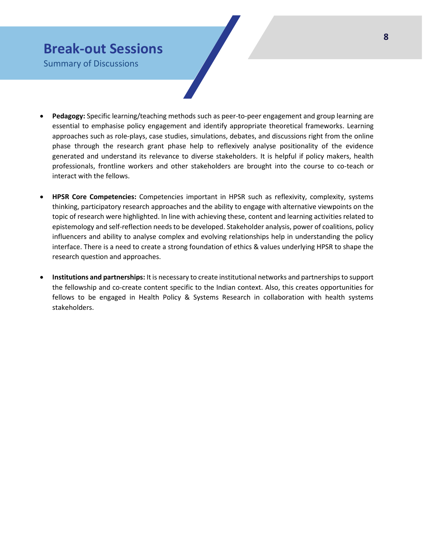## **Break-out Sessions**

Summary of Discussions

- **Pedagogy:** Specific learning/teaching methods such as peer-to-peer engagement and group learning are essential to emphasise policy engagement and identify appropriate theoretical frameworks. Learning approaches such as role-plays, case studies, simulations, debates, and discussions right from the online phase through the research grant phase help to reflexively analyse positionality of the evidence generated and understand its relevance to diverse stakeholders. It is helpful if policy makers, health professionals, frontline workers and other stakeholders are brought into the course to co-teach or interact with the fellows.
- **HPSR Core Competencies:** Competencies important in HPSR such as reflexivity, complexity, systems thinking, participatory research approaches and the ability to engage with alternative viewpoints on the topic of research were highlighted. In line with achieving these, content and learning activities related to epistemology and self-reflection needs to be developed. Stakeholder analysis, power of coalitions, policy influencers and ability to analyse complex and evolving relationships help in understanding the policy interface. There is a need to create a strong foundation of ethics & values underlying HPSR to shape the research question and approaches.
- **Institutions and partnerships:** It is necessary to create institutional networks and partnerships to support the fellowship and co-create content specific to the Indian context. Also, this creates opportunities for fellows to be engaged in Health Policy & Systems Research in collaboration with health systems stakeholders.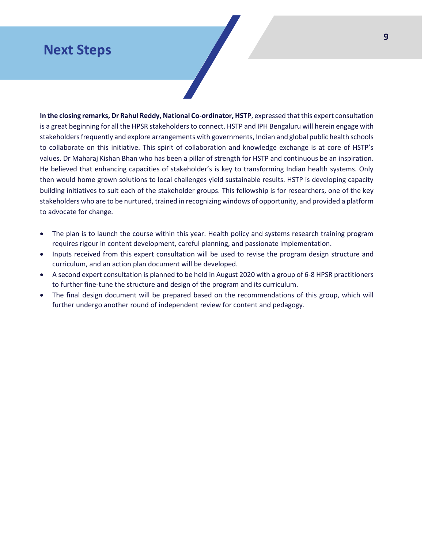### **Next Steps**

**In the closing remarks, Dr Rahul Reddy, National Co-ordinator, HSTP**, expressed that this expert consultation is a great beginning for all the HPSR stakeholders to connect. HSTP and IPH Bengaluru will herein engage with stakeholders frequently and explore arrangements with governments, Indian and global public health schools to collaborate on this initiative. This spirit of collaboration and knowledge exchange is at core of HSTP's values. Dr Maharaj Kishan Bhan who has been a pillar of strength for HSTP and continuous be an inspiration. He believed that enhancing capacities of stakeholder's is key to transforming Indian health systems. Only then would home grown solutions to local challenges yield sustainable results. HSTP is developing capacity building initiatives to suit each of the stakeholder groups. This fellowship is for researchers, one of the key stakeholders who are to be nurtured, trained in recognizing windows of opportunity, and provided a platform to advocate for change.

- The plan is to launch the course within this year. Health policy and systems research training program requires rigour in content development, careful planning, and passionate implementation.
- Inputs received from this expert consultation will be used to revise the program design structure and curriculum, and an action plan document will be developed.
- A second expert consultation is planned to be held in August 2020 with a group of 6-8 HPSR practitioners to further fine-tune the structure and design of the program and its curriculum.
- The final design document will be prepared based on the recommendations of this group, which will further undergo another round of independent review for content and pedagogy.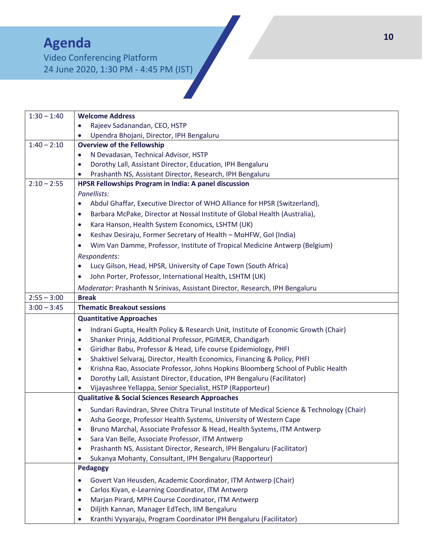## **Agenda**

Video Conferencing Platform 24 June 2020, 1:30 PM - 4:45 PM (IST)

| $1:30 - 1:40$ | <b>Welcome Address</b>                                                                          |  |  |
|---------------|-------------------------------------------------------------------------------------------------|--|--|
|               | Rajeev Sadanandan, CEO, HSTP<br>$\bullet$                                                       |  |  |
|               | Upendra Bhojani, Director, IPH Bengaluru                                                        |  |  |
| $1:40 - 2:10$ | <b>Overview of the Fellowship</b>                                                               |  |  |
|               | N Devadasan, Technical Advisor, HSTP<br>$\bullet$                                               |  |  |
|               | Dorothy Lall, Assistant Director, Education, IPH Bengaluru<br>$\bullet$                         |  |  |
|               | Prashanth NS, Assistant Director, Research, IPH Bengaluru                                       |  |  |
| $2:10 - 2:55$ | HPSR Fellowships Program in India: A panel discussion                                           |  |  |
|               | Panellists:                                                                                     |  |  |
|               | Abdul Ghaffar, Executive Director of WHO Alliance for HPSR (Switzerland),<br>$\bullet$          |  |  |
|               | Barbara McPake, Director at Nossal Institute of Global Health (Australia),<br>$\bullet$         |  |  |
|               | Kara Hanson, Health System Economics, LSHTM (UK)<br>$\bullet$                                   |  |  |
|               | Keshav Desiraju, Former Secretary of Health - MoHFW, Gol (India)<br>$\bullet$                   |  |  |
|               | Wim Van Damme, Professor, Institute of Tropical Medicine Antwerp (Belgium)<br>$\bullet$         |  |  |
|               | Respondents:                                                                                    |  |  |
|               | Lucy Gilson, Head, HPSR, University of Cape Town (South Africa)<br>$\bullet$                    |  |  |
|               | John Porter, Professor, International Health, LSHTM (UK)<br>$\bullet$                           |  |  |
|               | Moderator: Prashanth N Srinivas, Assistant Director, Research, IPH Bengaluru                    |  |  |
| $2:55 - 3:00$ | <b>Break</b>                                                                                    |  |  |
| $3:00 - 3:45$ | <b>Thematic Breakout sessions</b>                                                               |  |  |
|               | <b>Quantitative Approaches</b>                                                                  |  |  |
|               | Indrani Gupta, Health Policy & Research Unit, Institute of Economic Growth (Chair)<br>$\bullet$ |  |  |
|               | Shanker Prinja, Additional Professor, PGIMER, Chandigarh<br>$\bullet$                           |  |  |
|               | Giridhar Babu, Professor & Head, Life course Epidemiology, PHFI<br>$\bullet$                    |  |  |
|               | Shaktivel Selvaraj, Director, Health Economics, Financing & Policy, PHFI<br>$\bullet$           |  |  |
|               | Krishna Rao, Associate Professor, Johns Hopkins Bloomberg School of Public Health<br>$\bullet$  |  |  |
|               | Dorothy Lall, Assistant Director, Education, IPH Bengaluru (Facilitator)<br>$\bullet$           |  |  |
|               | Vijayashree Yellappa, Senior Specialist, HSTP (Rapporteur)                                      |  |  |
|               | <b>Qualitative &amp; Social Sciences Research Approaches</b>                                    |  |  |
|               | Sundari Ravindran, Shree Chitra Tirunal Institute of Medical Science & Technology (Chair)       |  |  |
|               | Asha George, Professor Health Systems, University of Western Cape                               |  |  |
|               | Bruno Marchal, Associate Professor & Head, Health Systems, ITM Antwerp<br>$\bullet$             |  |  |
|               | Sara Van Belle, Associate Professor, ITM Antwerp<br>$\bullet$                                   |  |  |
|               | Prashanth NS, Assistant Director, Research, IPH Bengaluru (Facilitator)<br>$\bullet$            |  |  |
|               | Sukanya Mohanty, Consultant, IPH Bengaluru (Rapporteur)<br>$\bullet$                            |  |  |
|               | <b>Pedagogy</b>                                                                                 |  |  |
|               | Govert Van Heusden, Academic Coordinator, ITM Antwerp (Chair)<br>$\bullet$                      |  |  |
|               | Carlos Kiyan, e-Learning Coordinator, ITM Antwerp<br>$\bullet$                                  |  |  |
|               | Marjan Pirard, MPH Course Coordinator, ITM Antwerp<br>$\bullet$                                 |  |  |
|               | Diljith Kannan, Manager EdTech, IIM Bengaluru<br>$\bullet$                                      |  |  |
|               | Kranthi Vysyaraju, Program Coordinator IPH Bengaluru (Facilitator)<br>$\bullet$                 |  |  |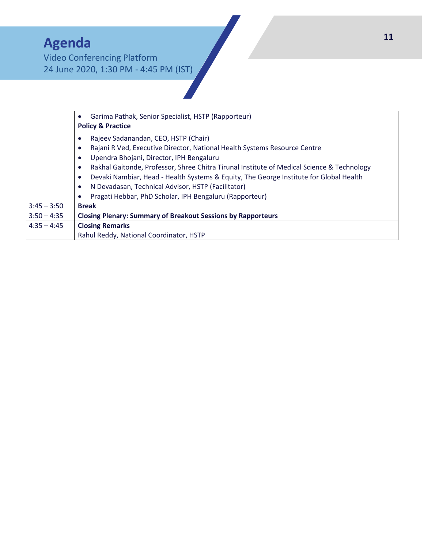# **Agenda**

Video Conferencing Platform 24 June 2020, 1:30 PM - 4:45 PM (IST)

|                                                                                                                                                                                                                                                                                                               | Garima Pathak, Senior Specialist, HSTP (Rapporteur)                 |  |  |               |                                                         |
|---------------------------------------------------------------------------------------------------------------------------------------------------------------------------------------------------------------------------------------------------------------------------------------------------------------|---------------------------------------------------------------------|--|--|---------------|---------------------------------------------------------|
|                                                                                                                                                                                                                                                                                                               | <b>Policy &amp; Practice</b>                                        |  |  |               |                                                         |
|                                                                                                                                                                                                                                                                                                               | Rajeev Sadanandan, CEO, HSTP (Chair)                                |  |  |               |                                                         |
| Rajani R Ved, Executive Director, National Health Systems Resource Centre<br>Upendra Bhojani, Director, IPH Bengaluru<br>Rakhal Gaitonde, Professor, Shree Chitra Tirunal Institute of Medical Science & Technology<br>Devaki Nambiar, Head - Health Systems & Equity, The George Institute for Global Health |                                                                     |  |  |               |                                                         |
|                                                                                                                                                                                                                                                                                                               |                                                                     |  |  |               | N Devadasan, Technical Advisor, HSTP (Facilitator)      |
|                                                                                                                                                                                                                                                                                                               |                                                                     |  |  |               | Pragati Hebbar, PhD Scholar, IPH Bengaluru (Rapporteur) |
|                                                                                                                                                                                                                                                                                                               |                                                                     |  |  | $3:45 - 3:50$ | <b>Break</b>                                            |
| $3:50 - 4:35$                                                                                                                                                                                                                                                                                                 | <b>Closing Plenary: Summary of Breakout Sessions by Rapporteurs</b> |  |  |               |                                                         |
| $4:35 - 4:45$                                                                                                                                                                                                                                                                                                 | <b>Closing Remarks</b>                                              |  |  |               |                                                         |
|                                                                                                                                                                                                                                                                                                               | Rahul Reddy, National Coordinator, HSTP                             |  |  |               |                                                         |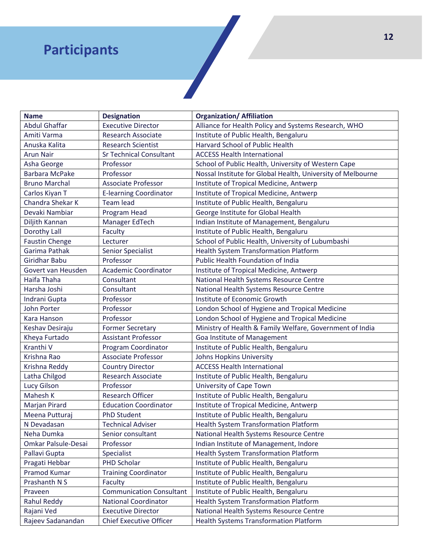## **Participants**

| <b>Name</b>           | <b>Designation</b>              | <b>Organization/ Affiliation</b>                            |
|-----------------------|---------------------------------|-------------------------------------------------------------|
| <b>Abdul Ghaffar</b>  | <b>Executive Director</b>       | Alliance for Health Policy and Systems Research, WHO        |
| Amiti Varma           | <b>Research Associate</b>       | Institute of Public Health, Bengaluru                       |
| Anuska Kalita         | <b>Research Scientist</b>       | Harvard School of Public Health                             |
| <b>Arun Nair</b>      | <b>Sr Technical Consultant</b>  | <b>ACCESS Health International</b>                          |
| Asha George           | Professor                       | School of Public Health, University of Western Cape         |
| <b>Barbara McPake</b> | Professor                       | Nossal Institute for Global Health, University of Melbourne |
| <b>Bruno Marchal</b>  | <b>Associate Professor</b>      | Institute of Tropical Medicine, Antwerp                     |
| Carlos Kiyan T        | <b>E-learning Coordinator</b>   | Institute of Tropical Medicine, Antwerp                     |
| Chandra Shekar K      | <b>Team lead</b>                | Institute of Public Health, Bengaluru                       |
| Devaki Nambiar        | Program Head                    | George Institute for Global Health                          |
| Diljith Kannan        | Manager EdTech                  | Indian Institute of Management, Bengaluru                   |
| Dorothy Lall          | Faculty                         | Institute of Public Health, Bengaluru                       |
| <b>Faustin Chenge</b> | Lecturer                        | School of Public Health, University of Lubumbashi           |
| Garima Pathak         | <b>Senior Specialist</b>        | <b>Health System Transformation Platform</b>                |
| Giridhar Babu         | Professor                       | <b>Public Health Foundation of India</b>                    |
| Govert van Heusden    | <b>Academic Coordinator</b>     | Institute of Tropical Medicine, Antwerp                     |
| Haifa Thaha           | Consultant                      | National Health Systems Resource Centre                     |
| Harsha Joshi          | Consultant                      | National Health Systems Resource Centre                     |
| Indrani Gupta         | Professor                       | Institute of Economic Growth                                |
| John Porter           | Professor                       | London School of Hygiene and Tropical Medicine              |
| <b>Kara Hanson</b>    | Professor                       | London School of Hygiene and Tropical Medicine              |
| Keshav Desiraju       | <b>Former Secretary</b>         | Ministry of Health & Family Welfare, Government of India    |
| Kheya Furtado         | <b>Assistant Professor</b>      | Goa Institute of Management                                 |
| Kranthi V             | Program Coordinator             | Institute of Public Health, Bengaluru                       |
| Krishna Rao           | <b>Associate Professor</b>      | Johns Hopkins University                                    |
| Krishna Reddy         | <b>Country Director</b>         | <b>ACCESS Health International</b>                          |
| Latha Chilgod         | Research Associate              | Institute of Public Health, Bengaluru                       |
| Lucy Gilson           | Professor                       | University of Cape Town                                     |
| Mahesh K              | <b>Research Officer</b>         | Institute of Public Health, Bengaluru                       |
| Marjan Pirard         | <b>Education Coordinator</b>    | Institute of Tropical Medicine, Antwerp                     |
| Meena Putturaj        | <b>PhD Student</b>              | Institute of Public Health, Bengaluru                       |
| N Devadasan           | <b>Technical Adviser</b>        | <b>Health System Transformation Platform</b>                |
| Neha Dumka            | Senior consultant               | National Health Systems Resource Centre                     |
| Omkar Palsule-Desai   | Professor                       | Indian Institute of Management, Indore                      |
| Pallavi Gupta         | Specialist                      | Health System Transformation Platform                       |
| Pragati Hebbar        | <b>PHD Scholar</b>              | Institute of Public Health, Bengaluru                       |
| Pramod Kumar          | <b>Training Coordinator</b>     | Institute of Public Health, Bengaluru                       |
| Prashanth N S         | Faculty                         | Institute of Public Health, Bengaluru                       |
| Praveen               | <b>Communication Consultant</b> | Institute of Public Health, Bengaluru                       |
| Rahul Reddy           | <b>National Coordinator</b>     | Health System Transformation Platform                       |
| Rajani Ved            | <b>Executive Director</b>       | National Health Systems Resource Centre                     |
| Rajeev Sadanandan     | <b>Chief Executive Officer</b>  | Health Systems Transformation Platform                      |